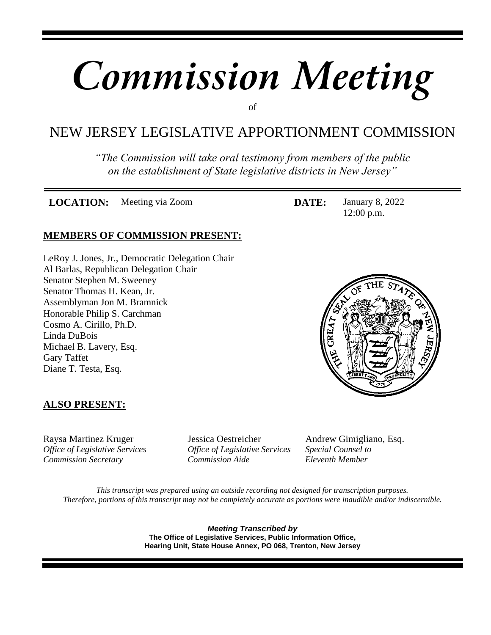# *Commission Meeting*

## of

# NEW JERSEY LEGISLATIVE APPORTIONMENT COMMISSION

*"The Commission will take oral testimony from members of the public on the establishment of State legislative districts in New Jersey"*

**LOCATION:** Meeting via Zoom **DATE:** January 8, 2022

**MEMBERS OF COMMISSION PRESENT:**

LeRoy J. Jones, Jr., Democratic Delegation Chair Al Barlas, Republican Delegation Chair Senator Stephen M. Sweeney Senator Thomas H. Kean, Jr. Assemblyman Jon M. Bramnick Honorable Philip S. Carchman Cosmo A. Cirillo, Ph.D. Linda DuBois







## **ALSO PRESENT:**

Raysa Martinez Kruger Jessica Oestreicher Andrew Gimigliano, Esq. *Office of Legislative Services Office of Legislative Services Special Counsel to Commission Secretary Commission Aide Eleventh Member*

*This transcript was prepared using an outside recording not designed for transcription purposes. Therefore, portions of this transcript may not be completely accurate as portions were inaudible and/or indiscernible.*

> *Meeting Transcribed by* **The Office of Legislative Services, Public Information Office, Hearing Unit, State House Annex, PO 068, Trenton, New Jersey**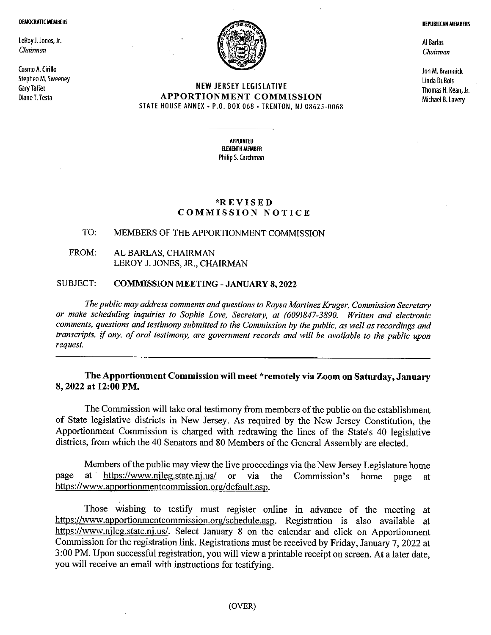#### **DEMOCRATIC MEMBERS**

LeRoy J. Jones, Jr. Chairman

Cosmo A. Cirillo Stephen M. Sweeney **Gary Taffet** Diane T. Testa



## **NEW JERSEY LEGISLATIVE** APPORTIONMENT COMMISSION STATE HOUSE ANNEX - P.O. BOX 068 - TRENTON, NJ 08625-0068

**APPOINTED ELEVENTH MEMBER** Philip S. Carchman

### \*REVISED **COMMISSION NOTICE**

#### TO: MEMBERS OF THE APPORTIONMENT COMMISSION

#### FROM: AL BARLAS, CHAIRMAN LEROY J. JONES, JR., CHAIRMAN

#### SUBJECT: **COMMISSION MEETING - JANUARY 8, 2022**

The public may address comments and questions to Raysa Martinez Kruger, Commission Secretary or make scheduling inquiries to Sophie Love, Secretary, at (609)847-3890. Written and electronic comments, questions and testimony submitted to the Commission by the public, as well as recordings and transcripts, if any, of oral testimony, are government records and will be available to the public upon request.

## The Apportionment Commission will meet \*remotely via Zoom on Saturday, January 8, 2022 at 12:00 PM.

The Commission will take oral testimony from members of the public on the establishment of State legislative districts in New Jersey. As required by the New Jersey Constitution, the Apportionment Commission is charged with redrawing the lines of the State's 40 legislative districts, from which the 40 Senators and 80 Members of the General Assembly are elected.

Members of the public may view the live proceedings via the New Jersey Legislature home at https://www.njleg.state.nj.us/ or via the Commission's page home page at https://www.apportionmentcommission.org/default.asp.

Those wishing to testify must register online in advance of the meeting at https://www.apportionmentcommission.org/schedule.asp. Registration is also available at https://www.njleg.state.nj.us/. Select January 8 on the calendar and click on Apportionment Commission for the registration link. Registrations must be received by Friday, January 7, 2022 at 3:00 PM. Upon successful registration, you will view a printable receipt on screen. At a later date, you will receive an email with instructions for testifying.

**REPUBLICAN MEMBERS** 

Al Barlas Chairman

Jon M. Bramnick Linda DuBois Thomas H. Kean, Jr. Michael B. Lavery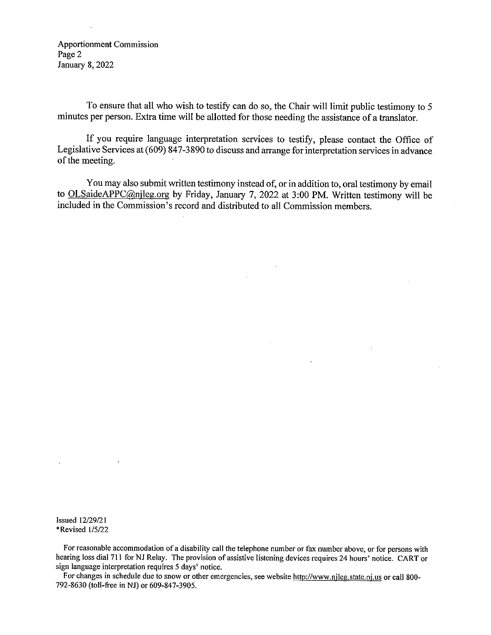**Apportionment Commission** Page 2 January 8, 2022

To ensure that all who wish to testify can do so, the Chair will limit public testimony to 5 minutes per person. Extra time will be allotted for those needing the assistance of a translator.

If you require language interpretation services to testify, please contact the Office of Legislative Services at  $(609)$  847-3890 to discuss and arrange for interpretation services in advance of the meeting.

You may also submit written testimony instead of, or in addition to, oral testimony by email to OLSaideAPPC@nileg.org by Friday, January 7, 2022 at 3:00 PM. Written testimony will be included in the Commission's record and distributed to all Commission members.

 $\ddot{\phantom{a}}$ 

 $\mathbf{r}$ 

**Issued 12/29/21** \*Revised 1/5/22

For reasonable accommodation of a disability call the telephone number or fax number above, or for persons with hearing loss dial 711 for NJ Relay. The provision of assistive listening devices requires 24 hours' notice. CART or sign language interpretation requires 5 days' notice.

For changes in schedule due to snow or other emergencies, see website http://www.njleg.state.nj.us or call 800-792-8630 (toll-free in NJ) or 609-847-3905.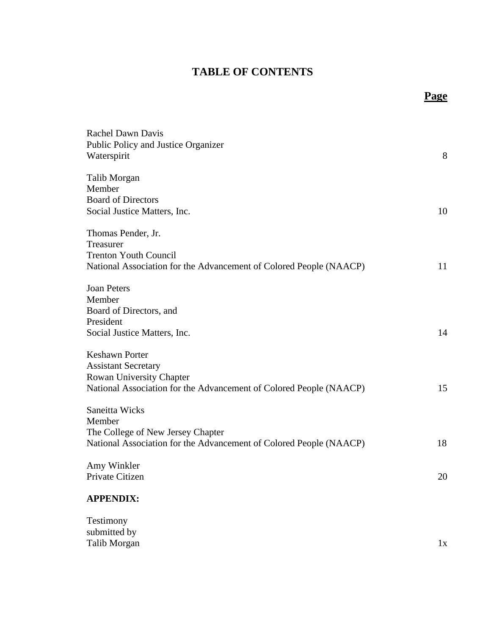# **TABLE OF CONTENTS**

| <b>Rachel Dawn Davis</b>                                           |    |
|--------------------------------------------------------------------|----|
| Public Policy and Justice Organizer                                |    |
| Waterspirit                                                        | 8  |
|                                                                    |    |
| Talib Morgan                                                       |    |
| Member                                                             |    |
| <b>Board of Directors</b>                                          |    |
| Social Justice Matters, Inc.                                       | 10 |
| Thomas Pender, Jr.                                                 |    |
| Treasurer                                                          |    |
| <b>Trenton Youth Council</b>                                       |    |
| National Association for the Advancement of Colored People (NAACP) | 11 |
|                                                                    |    |
| <b>Joan Peters</b>                                                 |    |
| Member                                                             |    |
| Board of Directors, and                                            |    |
| President                                                          |    |
| Social Justice Matters, Inc.                                       | 14 |
|                                                                    |    |
| <b>Keshawn Porter</b>                                              |    |
| <b>Assistant Secretary</b>                                         |    |
| Rowan University Chapter                                           |    |
| National Association for the Advancement of Colored People (NAACP) | 15 |
|                                                                    |    |
| Saneitta Wicks                                                     |    |
| Member                                                             |    |
| The College of New Jersey Chapter                                  |    |
| National Association for the Advancement of Colored People (NAACP) | 18 |
|                                                                    |    |
| Amy Winkler                                                        |    |
| Private Citizen                                                    | 20 |
|                                                                    |    |
| <b>APPENDIX:</b>                                                   |    |
| Testimony                                                          |    |
| submitted by                                                       |    |
|                                                                    |    |

Talib Morgan 1x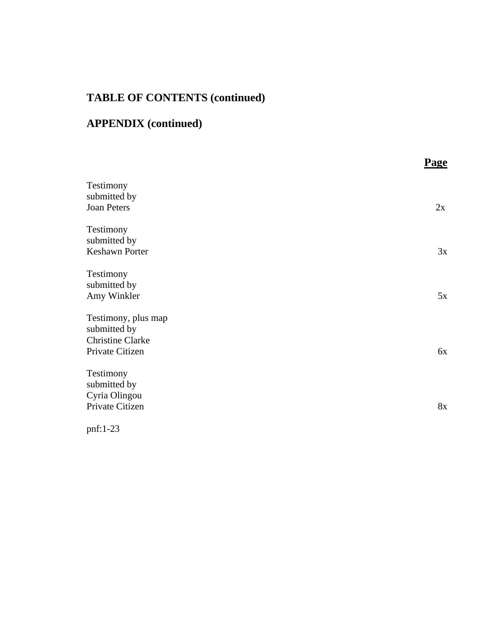# **TABLE OF CONTENTS (continued)**

# **APPENDIX (continued)**

|                                                                                   | <b>Page</b> |
|-----------------------------------------------------------------------------------|-------------|
| Testimony<br>submitted by<br>Joan Peters                                          | 2x          |
| Testimony<br>submitted by<br><b>Keshawn Porter</b>                                | 3x          |
| Testimony<br>submitted by<br>Amy Winkler                                          | 5x          |
| Testimony, plus map<br>submitted by<br><b>Christine Clarke</b><br>Private Citizen | 6x          |
| Testimony<br>submitted by                                                         |             |
| Cyria Olingou<br>Private Citizen                                                  | 8x          |
| pnf:1-23                                                                          |             |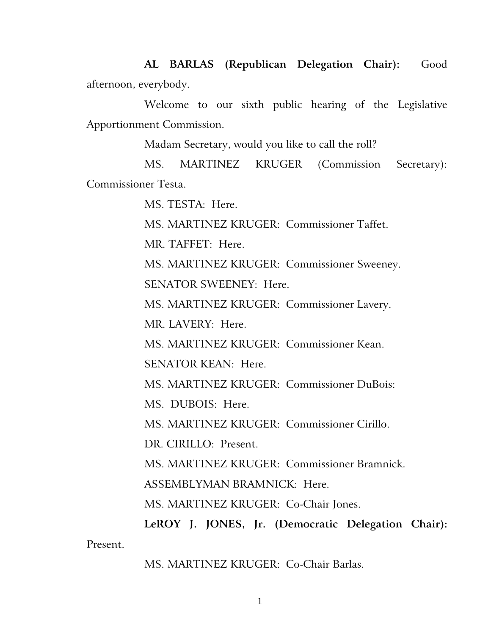**AL BARLAS (Republican Delegation Chair):** Good afternoon, everybody.

Welcome to our sixth public hearing of the Legislative Apportionment Commission.

Madam Secretary, would you like to call the roll?

MS. MARTINEZ KRUGER (Commission Secretary): Commissioner Testa.

MS. TESTA: Here.

MS. MARTINEZ KRUGER: Commissioner Taffet.

MR. TAFFET: Here.

MS. MARTINEZ KRUGER: Commissioner Sweeney.

SENATOR SWEENEY: Here.

MS. MARTINEZ KRUGER: Commissioner Lavery.

MR. LAVERY: Here.

MS. MARTINEZ KRUGER: Commissioner Kean.

SENATOR KEAN: Here.

MS. MARTINEZ KRUGER: Commissioner DuBois:

MS. DUBOIS: Here.

MS. MARTINEZ KRUGER: Commissioner Cirillo.

DR. CIRILLO: Present.

MS. MARTINEZ KRUGER: Commissioner Bramnick.

ASSEMBLYMAN BRAMNICK: Here.

MS. MARTINEZ KRUGER: Co-Chair Jones.

**LeROY J. JONES, Jr. (Democratic Delegation Chair):**  Present.

MS. MARTINEZ KRUGER: Co-Chair Barlas.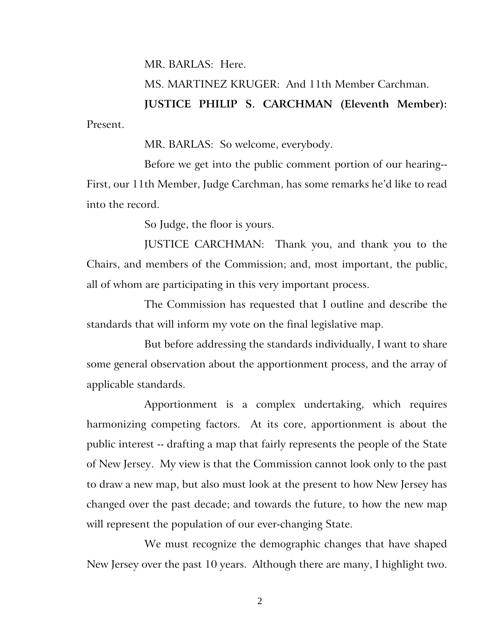MR. BARLAS:Here.

MS. MARTINEZ KRUGER: And 11th Member Carchman.

**JUSTICE PHILIP S. CARCHMAN (Eleventh Member):**  Present.

MR. BARLAS: So welcome, everybody.

Before we get into the public comment portion of our hearing-- First, our 11th Member, Judge Carchman, has some remarks he'd like to read into the record.

So Judge, the floor is yours.

JUSTICE CARCHMAN: Thank you, and thank you to the Chairs, and members of the Commission; and, most important, the public, all of whom are participating in this very important process.

The Commission has requested that I outline and describe the standards that will inform my vote on the final legislative map.

But before addressing the standards individually, I want to share some general observation about the apportionment process, and the array of applicable standards.

Apportionment is a complex undertaking, which requires harmonizing competing factors. At its core, apportionment is about the public interest -- drafting a map that fairly represents the people of the State of New Jersey. My view is that the Commission cannot look only to the past to draw a new map, but also must look at the present to how New Jersey has changed over the past decade; and towards the future, to how the new map will represent the population of our ever-changing State.

We must recognize the demographic changes that have shaped New Jersey over the past 10 years. Although there are many, I highlight two.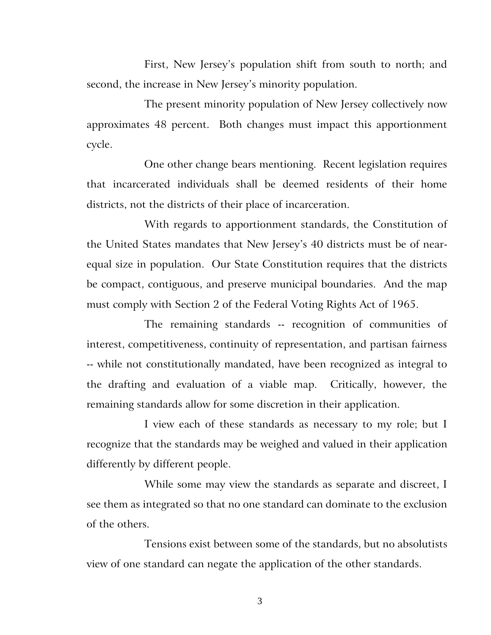First, New Jersey's population shift from south to north; and second, the increase in New Jersey's minority population.

The present minority population of New Jersey collectively now approximates 48 percent. Both changes must impact this apportionment cycle.

One other change bears mentioning. Recent legislation requires that incarcerated individuals shall be deemed residents of their home districts, not the districts of their place of incarceration.

With regards to apportionment standards, the Constitution of the United States mandates that New Jersey's 40 districts must be of nearequal size in population. Our State Constitution requires that the districts be compact, contiguous, and preserve municipal boundaries. And the map must comply with Section 2 of the Federal Voting Rights Act of 1965.

The remaining standards -- recognition of communities of interest, competitiveness, continuity of representation, and partisan fairness -- while not constitutionally mandated, have been recognized as integral to the drafting and evaluation of a viable map. Critically, however, the remaining standards allow for some discretion in their application.

I view each of these standards as necessary to my role; but I recognize that the standards may be weighed and valued in their application differently by different people.

While some may view the standards as separate and discreet, I see them as integrated so that no one standard can dominate to the exclusion of the others.

Tensions exist between some of the standards, but no absolutists view of one standard can negate the application of the other standards.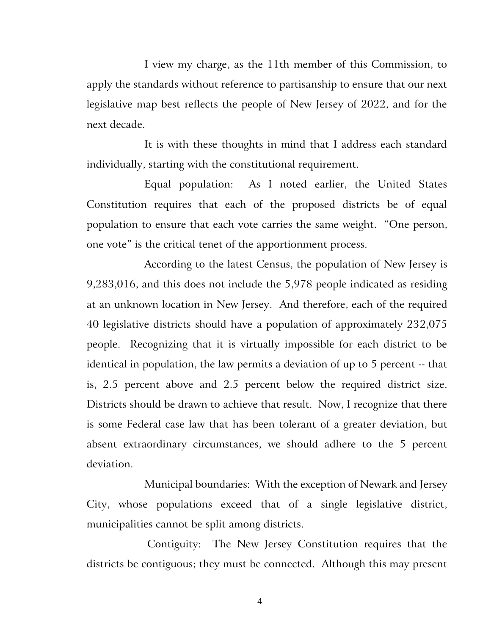I view my charge, as the 11th member of this Commission, to apply the standards without reference to partisanship to ensure that our next legislative map best reflects the people of New Jersey of 2022, and for the next decade.

It is with these thoughts in mind that I address each standard individually, starting with the constitutional requirement.

Equal population: As I noted earlier, the United States Constitution requires that each of the proposed districts be of equal population to ensure that each vote carries the same weight. "One person, one vote" is the critical tenet of the apportionment process.

According to the latest Census, the population of New Jersey is 9,283,016, and this does not include the 5,978 people indicated as residing at an unknown location in New Jersey. And therefore, each of the required 40 legislative districts should have a population of approximately 232,075 people. Recognizing that it is virtually impossible for each district to be identical in population, the law permits a deviation of up to 5 percent -- that is, 2.5 percent above and 2.5 percent below the required district size. Districts should be drawn to achieve that result. Now, I recognize that there is some Federal case law that has been tolerant of a greater deviation, but absent extraordinary circumstances, we should adhere to the 5 percent deviation.

Municipal boundaries: With the exception of Newark and Jersey City, whose populations exceed that of a single legislative district, municipalities cannot be split among districts.

Contiguity: The New Jersey Constitution requires that the districts be contiguous; they must be connected. Although this may present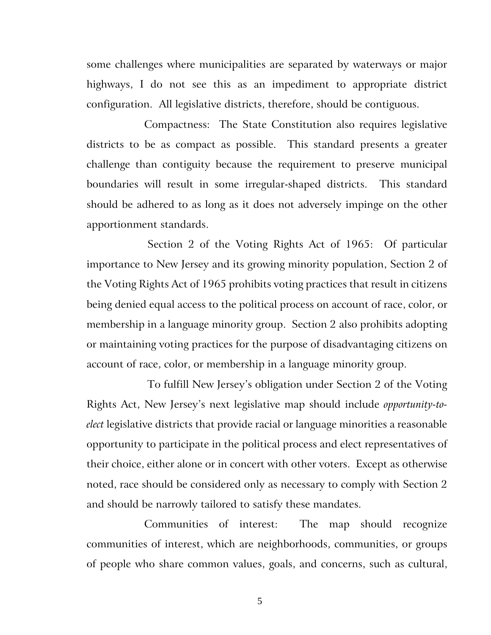some challenges where municipalities are separated by waterways or major highways, I do not see this as an impediment to appropriate district configuration. All legislative districts, therefore, should be contiguous.

Compactness: The State Constitution also requires legislative districts to be as compact as possible. This standard presents a greater challenge than contiguity because the requirement to preserve municipal boundaries will result in some irregular-shaped districts. This standard should be adhered to as long as it does not adversely impinge on the other apportionment standards.

Section 2 of the Voting Rights Act of 1965: Of particular importance to New Jersey and its growing minority population, Section 2 of the Voting Rights Act of 1965 prohibits voting practices that result in citizens being denied equal access to the political process on account of race, color, or membership in a language minority group. Section 2 also prohibits adopting or maintaining voting practices for the purpose of disadvantaging citizens on account of race, color, or membership in a language minority group.

To fulfill New Jersey's obligation under Section 2 of the Voting Rights Act, New Jersey's next legislative map should include *opportunity-toelect* legislative districts that provide racial or language minorities a reasonable opportunity to participate in the political process and elect representatives of their choice, either alone or in concert with other voters. Except as otherwise noted, race should be considered only as necessary to comply with Section 2 and should be narrowly tailored to satisfy these mandates.

Communities of interest: The map should recognize communities of interest, which are neighborhoods, communities, or groups of people who share common values, goals, and concerns, such as cultural,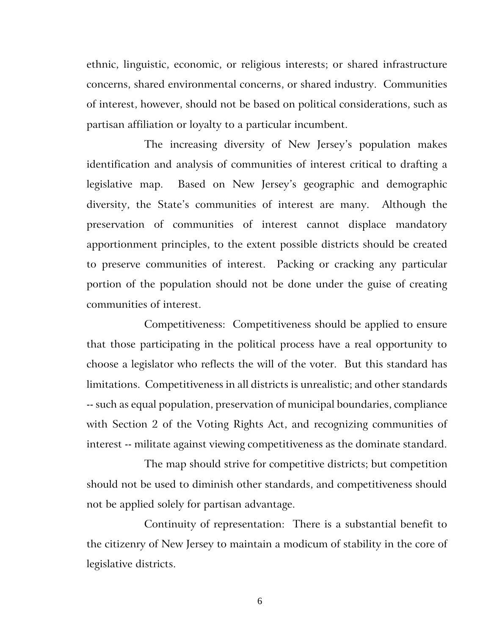ethnic, linguistic, economic, or religious interests; or shared infrastructure concerns, shared environmental concerns, or shared industry. Communities of interest, however, should not be based on political considerations, such as partisan affiliation or loyalty to a particular incumbent.

The increasing diversity of New Jersey's population makes identification and analysis of communities of interest critical to drafting a legislative map. Based on New Jersey's geographic and demographic diversity, the State's communities of interest are many. Although the preservation of communities of interest cannot displace mandatory apportionment principles, to the extent possible districts should be created to preserve communities of interest. Packing or cracking any particular portion of the population should not be done under the guise of creating communities of interest.

Competitiveness: Competitiveness should be applied to ensure that those participating in the political process have a real opportunity to choose a legislator who reflects the will of the voter. But this standard has limitations. Competitiveness in all districts is unrealistic; and other standards -- such as equal population, preservation of municipal boundaries, compliance with Section 2 of the Voting Rights Act, and recognizing communities of interest -- militate against viewing competitiveness as the dominate standard.

The map should strive for competitive districts; but competition should not be used to diminish other standards, and competitiveness should not be applied solely for partisan advantage.

Continuity of representation: There is a substantial benefit to the citizenry of New Jersey to maintain a modicum of stability in the core of legislative districts.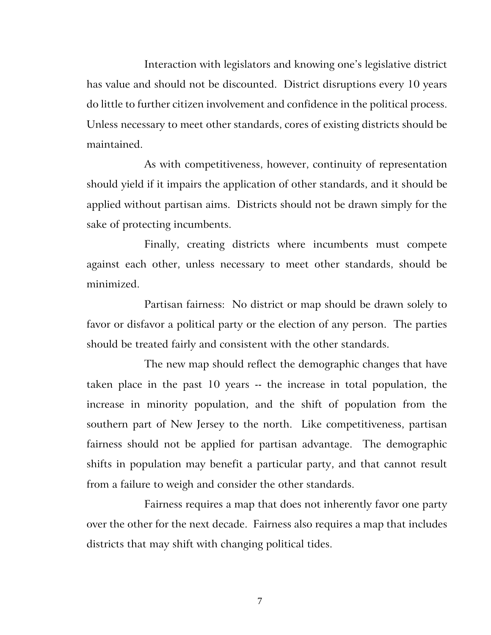Interaction with legislators and knowing one's legislative district has value and should not be discounted. District disruptions every 10 years do little to further citizen involvement and confidence in the political process. Unless necessary to meet other standards, cores of existing districts should be maintained.

As with competitiveness, however, continuity of representation should yield if it impairs the application of other standards, and it should be applied without partisan aims. Districts should not be drawn simply for the sake of protecting incumbents.

Finally, creating districts where incumbents must compete against each other, unless necessary to meet other standards, should be minimized.

Partisan fairness: No district or map should be drawn solely to favor or disfavor a political party or the election of any person. The parties should be treated fairly and consistent with the other standards.

The new map should reflect the demographic changes that have taken place in the past 10 years -- the increase in total population, the increase in minority population, and the shift of population from the southern part of New Jersey to the north. Like competitiveness, partisan fairness should not be applied for partisan advantage. The demographic shifts in population may benefit a particular party, and that cannot result from a failure to weigh and consider the other standards.

Fairness requires a map that does not inherently favor one party over the other for the next decade. Fairness also requires a map that includes districts that may shift with changing political tides.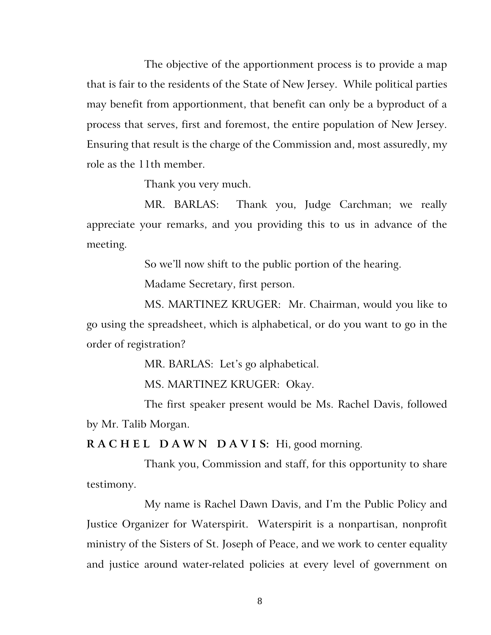The objective of the apportionment process is to provide a map that is fair to the residents of the State of New Jersey. While political parties may benefit from apportionment, that benefit can only be a byproduct of a process that serves, first and foremost, the entire population of New Jersey. Ensuring that result is the charge of the Commission and, most assuredly, my role as the 11th member.

Thank you very much.

MR. BARLAS: Thank you, Judge Carchman; we really appreciate your remarks, and you providing this to us in advance of the meeting.

So we'll now shift to the public portion of the hearing.

Madame Secretary, first person.

MS. MARTINEZ KRUGER: Mr. Chairman, would you like to go using the spreadsheet, which is alphabetical, or do you want to go in the order of registration?

MR. BARLAS: Let's go alphabetical.

MS. MARTINEZ KRUGER: Okay.

The first speaker present would be Ms. Rachel Davis, followed by Mr. Talib Morgan.

**R A C H E L D A W N D A V I S:** Hi, good morning.

Thank you, Commission and staff, for this opportunity to share testimony.

My name is Rachel Dawn Davis, and I'm the Public Policy and Justice Organizer for Waterspirit. Waterspirit is a nonpartisan, nonprofit ministry of the Sisters of St. Joseph of Peace, and we work to center equality and justice around water-related policies at every level of government on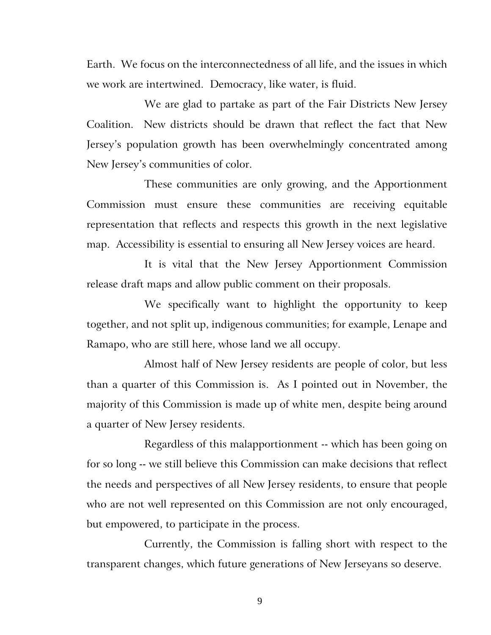Earth. We focus on the interconnectedness of all life, and the issues in which we work are intertwined. Democracy, like water, is fluid.

We are glad to partake as part of the Fair Districts New Jersey Coalition. New districts should be drawn that reflect the fact that New Jersey's population growth has been overwhelmingly concentrated among New Jersey's communities of color.

These communities are only growing, and the Apportionment Commission must ensure these communities are receiving equitable representation that reflects and respects this growth in the next legislative map. Accessibility is essential to ensuring all New Jersey voices are heard.

It is vital that the New Jersey Apportionment Commission release draft maps and allow public comment on their proposals.

We specifically want to highlight the opportunity to keep together, and not split up, indigenous communities; for example, Lenape and Ramapo, who are still here, whose land we all occupy.

Almost half of New Jersey residents are people of color, but less than a quarter of this Commission is. As I pointed out in November, the majority of this Commission is made up of white men, despite being around a quarter of New Jersey residents.

Regardless of this malapportionment -- which has been going on for so long -- we still believe this Commission can make decisions that reflect the needs and perspectives of all New Jersey residents, to ensure that people who are not well represented on this Commission are not only encouraged, but empowered, to participate in the process.

Currently, the Commission is falling short with respect to the transparent changes, which future generations of New Jerseyans so deserve.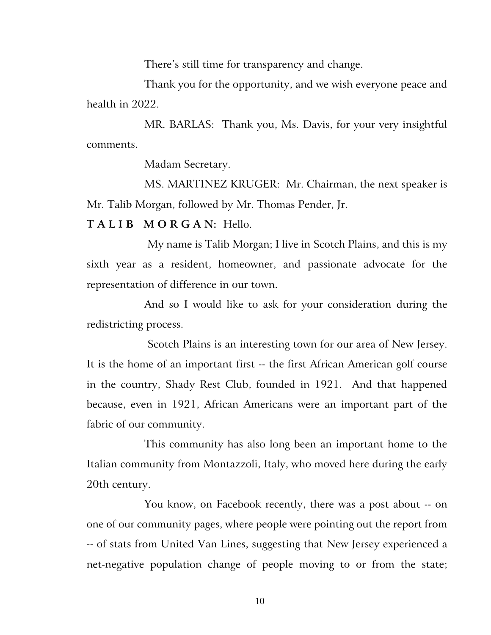There's still time for transparency and change.

Thank you for the opportunity, and we wish everyone peace and health in 2022.

MR. BARLAS: Thank you, Ms. Davis, for your very insightful comments.

Madam Secretary.

MS. MARTINEZ KRUGER: Mr. Chairman, the next speaker is Mr. Talib Morgan, followed by Mr. Thomas Pender, Jr.

**T A L I B M O R G A N:** Hello.

My name is Talib Morgan; I live in Scotch Plains, and this is my sixth year as a resident, homeowner, and passionate advocate for the representation of difference in our town.

And so I would like to ask for your consideration during the redistricting process.

Scotch Plains is an interesting town for our area of New Jersey. It is the home of an important first -- the first African American golf course in the country, Shady Rest Club, founded in 1921. And that happened because, even in 1921, African Americans were an important part of the fabric of our community.

This community has also long been an important home to the Italian community from Montazzoli, Italy, who moved here during the early 20th century.

You know, on Facebook recently, there was a post about -- on one of our community pages, where people were pointing out the report from -- of stats from United Van Lines, suggesting that New Jersey experienced a net-negative population change of people moving to or from the state;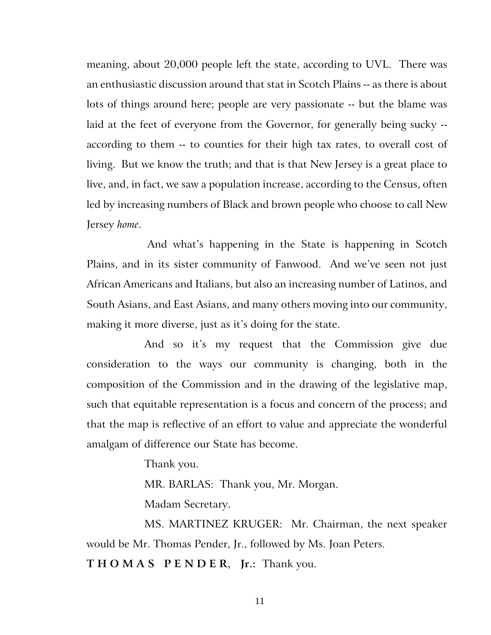meaning, about 20,000 people left the state, according to UVL. There was an enthusiastic discussion around that stat in Scotch Plains -- as there is about lots of things around here; people are very passionate -- but the blame was laid at the feet of everyone from the Governor, for generally being sucky - according to them -- to counties for their high tax rates, to overall cost of living. But we know the truth; and that is that New Jersey is a great place to live, and, in fact, we saw a population increase, according to the Census, often led by increasing numbers of Black and brown people who choose to call New Jersey *home*.

And what's happening in the State is happening in Scotch Plains, and in its sister community of Fanwood. And we've seen not just African Americans and Italians, but also an increasing number of Latinos, and South Asians, and East Asians, and many others moving into our community, making it more diverse, just as it's doing for the state.

And so it's my request that the Commission give due consideration to the ways our community is changing, both in the composition of the Commission and in the drawing of the legislative map, such that equitable representation is a focus and concern of the process; and that the map is reflective of an effort to value and appreciate the wonderful amalgam of difference our State has become.

Thank you.

MR. BARLAS: Thank you, Mr. Morgan.

Madam Secretary.

MS. MARTINEZ KRUGER: Mr. Chairman, the next speaker would be Mr. Thomas Pender, Jr., followed by Ms. Joan Peters.

**T H O M A S P E N D E R, Jr.:** Thank you.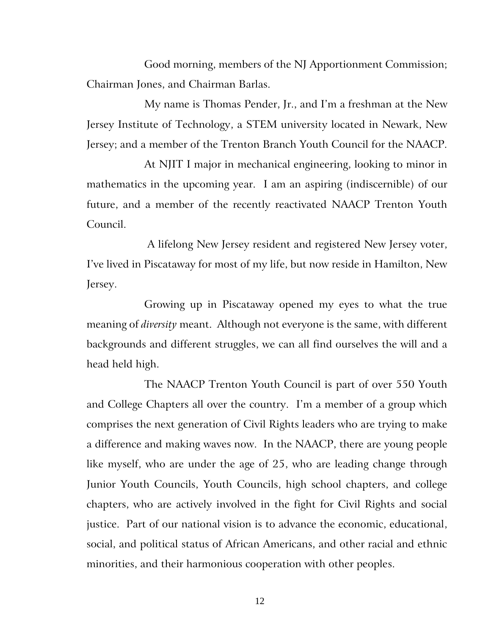Good morning, members of the NJ Apportionment Commission; Chairman Jones, and Chairman Barlas.

My name is Thomas Pender, Jr., and I'm a freshman at the New Jersey Institute of Technology, a STEM university located in Newark, New Jersey; and a member of the Trenton Branch Youth Council for the NAACP.

At NJIT I major in mechanical engineering, looking to minor in mathematics in the upcoming year. I am an aspiring (indiscernible) of our future, and a member of the recently reactivated NAACP Trenton Youth Council.

A lifelong New Jersey resident and registered New Jersey voter, I've lived in Piscataway for most of my life, but now reside in Hamilton, New Jersey.

Growing up in Piscataway opened my eyes to what the true meaning of *diversity* meant. Although not everyone is the same, with different backgrounds and different struggles, we can all find ourselves the will and a head held high.

The NAACP Trenton Youth Council is part of over 550 Youth and College Chapters all over the country. I'm a member of a group which comprises the next generation of Civil Rights leaders who are trying to make a difference and making waves now. In the NAACP, there are young people like myself, who are under the age of 25, who are leading change through Junior Youth Councils, Youth Councils, high school chapters, and college chapters, who are actively involved in the fight for Civil Rights and social justice. Part of our national vision is to advance the economic, educational, social, and political status of African Americans, and other racial and ethnic minorities, and their harmonious cooperation with other peoples.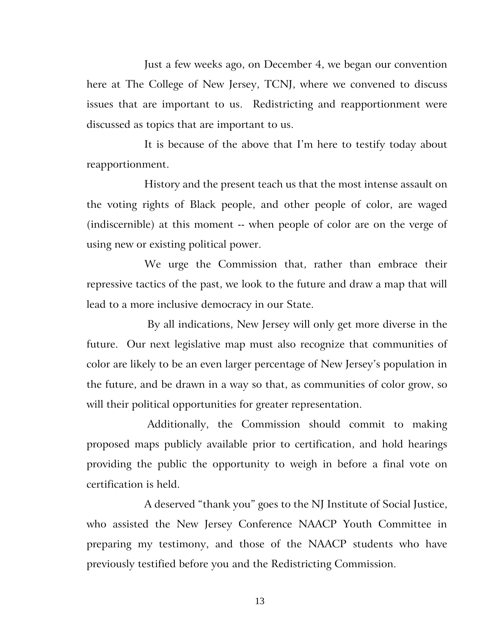Just a few weeks ago, on December 4, we began our convention here at The College of New Jersey, TCNJ, where we convened to discuss issues that are important to us. Redistricting and reapportionment were discussed as topics that are important to us.

It is because of the above that I'm here to testify today about reapportionment.

History and the present teach us that the most intense assault on the voting rights of Black people, and other people of color, are waged (indiscernible) at this moment -- when people of color are on the verge of using new or existing political power.

We urge the Commission that, rather than embrace their repressive tactics of the past, we look to the future and draw a map that will lead to a more inclusive democracy in our State.

By all indications, New Jersey will only get more diverse in the future. Our next legislative map must also recognize that communities of color are likely to be an even larger percentage of New Jersey's population in the future, and be drawn in a way so that, as communities of color grow, so will their political opportunities for greater representation.

Additionally, the Commission should commit to making proposed maps publicly available prior to certification, and hold hearings providing the public the opportunity to weigh in before a final vote on certification is held.

A deserved "thank you" goes to the NJ Institute of Social Justice, who assisted the New Jersey Conference NAACP Youth Committee in preparing my testimony, and those of the NAACP students who have previously testified before you and the Redistricting Commission.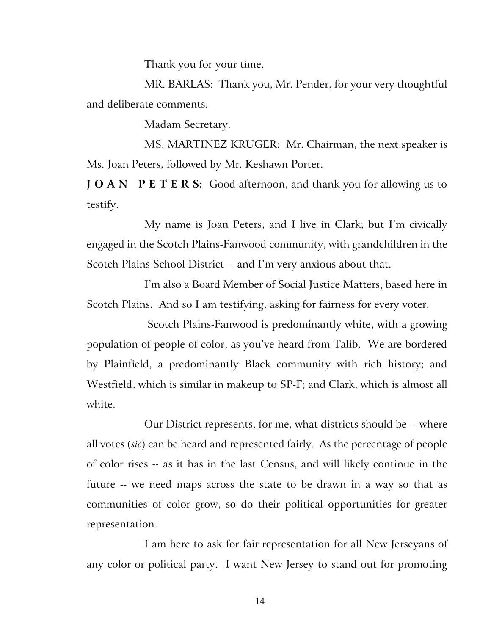Thank you for your time.

MR. BARLAS: Thank you, Mr. Pender, for your very thoughtful and deliberate comments.

Madam Secretary.

MS. MARTINEZ KRUGER: Mr. Chairman, the next speaker is Ms. Joan Peters, followed by Mr. Keshawn Porter.

**J O A N** P E T E R S: Good afternoon, and thank you for allowing us to testify.

My name is Joan Peters, and I live in Clark; but I'm civically engaged in the Scotch Plains-Fanwood community, with grandchildren in the Scotch Plains School District -- and I'm very anxious about that.

I'm also a Board Member of Social Justice Matters, based here in Scotch Plains. And so I am testifying, asking for fairness for every voter.

Scotch Plains-Fanwood is predominantly white, with a growing population of people of color, as you've heard from Talib. We are bordered by Plainfield, a predominantly Black community with rich history; and Westfield, which is similar in makeup to SP-F; and Clark, which is almost all white.

Our District represents, for me, what districts should be -- where all votes (*sic*) can be heard and represented fairly. As the percentage of people of color rises -- as it has in the last Census, and will likely continue in the future -- we need maps across the state to be drawn in a way so that as communities of color grow, so do their political opportunities for greater representation.

I am here to ask for fair representation for all New Jerseyans of any color or political party. I want New Jersey to stand out for promoting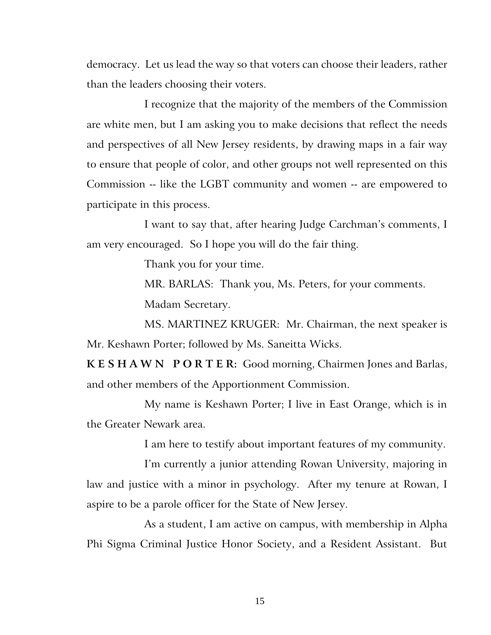democracy. Let us lead the way so that voters can choose their leaders, rather than the leaders choosing their voters.

I recognize that the majority of the members of the Commission are white men, but I am asking you to make decisions that reflect the needs and perspectives of all New Jersey residents, by drawing maps in a fair way to ensure that people of color, and other groups not well represented on this Commission -- like the LGBT community and women -- are empowered to participate in this process.

I want to say that, after hearing Judge Carchman's comments, I am very encouraged. So I hope you will do the fair thing.

Thank you for your time.

MR. BARLAS: Thank you, Ms. Peters, for your comments. Madam Secretary.

MS. MARTINEZ KRUGER: Mr. Chairman, the next speaker is Mr. Keshawn Porter; followed by Ms. Saneitta Wicks.

**K E S H A W N P O R T E R:** Good morning, Chairmen Jones and Barlas, and other members of the Apportionment Commission.

My name is Keshawn Porter; I live in East Orange, which is in the Greater Newark area.

I am here to testify about important features of my community.

I'm currently a junior attending Rowan University, majoring in law and justice with a minor in psychology. After my tenure at Rowan, I aspire to be a parole officer for the State of New Jersey.

As a student, I am active on campus, with membership in Alpha Phi Sigma Criminal Justice Honor Society, and a Resident Assistant. But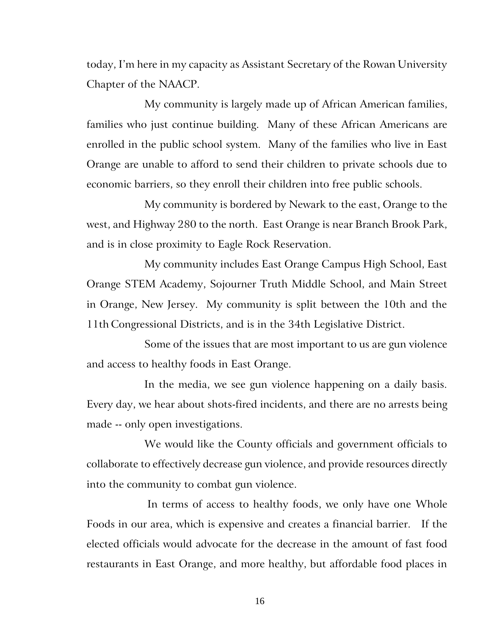today, I'm here in my capacity as Assistant Secretary of the Rowan University Chapter of the NAACP.

My community is largely made up of African American families, families who just continue building. Many of these African Americans are enrolled in the public school system. Many of the families who live in East Orange are unable to afford to send their children to private schools due to economic barriers, so they enroll their children into free public schools.

My community is bordered by Newark to the east, Orange to the west, and Highway 280 to the north. East Orange is near Branch Brook Park, and is in close proximity to Eagle Rock Reservation.

My community includes East Orange Campus High School, East Orange STEM Academy, Sojourner Truth Middle School, and Main Street in Orange, New Jersey. My community is split between the 10th and the 11th Congressional Districts, and is in the 34th Legislative District.

Some of the issues that are most important to us are gun violence and access to healthy foods in East Orange.

In the media, we see gun violence happening on a daily basis. Every day, we hear about shots-fired incidents, and there are no arrests being made -- only open investigations.

We would like the County officials and government officials to collaborate to effectively decrease gun violence, and provide resources directly into the community to combat gun violence.

In terms of access to healthy foods, we only have one Whole Foods in our area, which is expensive and creates a financial barrier. If the elected officials would advocate for the decrease in the amount of fast food restaurants in East Orange, and more healthy, but affordable food places in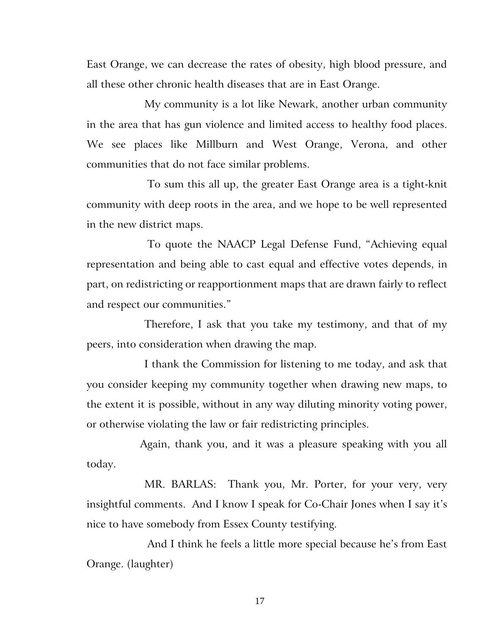East Orange, we can decrease the rates of obesity, high blood pressure, and all these other chronic health diseases that are in East Orange.

My community is a lot like Newark, another urban community in the area that has gun violence and limited access to healthy food places. We see places like Millburn and West Orange, Verona, and other communities that do not face similar problems.

To sum this all up, the greater East Orange area is a tight-knit community with deep roots in the area, and we hope to be well represented in the new district maps.

To quote the NAACP Legal Defense Fund, "Achieving equal representation and being able to cast equal and effective votes depends, in part, on redistricting or reapportionment maps that are drawn fairly to reflect and respect our communities."

Therefore, I ask that you take my testimony, and that of my peers, into consideration when drawing the map.

I thank the Commission for listening to me today, and ask that you consider keeping my community together when drawing new maps, to the extent it is possible, without in any way diluting minority voting power, or otherwise violating the law or fair redistricting principles.

 Again, thank you, and it was a pleasure speaking with you all today.

MR. BARLAS: Thank you, Mr. Porter, for your very, very insightful comments. And I know I speak for Co-Chair Jones when I say it's nice to have somebody from Essex County testifying.

And I think he feels a little more special because he's from East Orange. (laughter)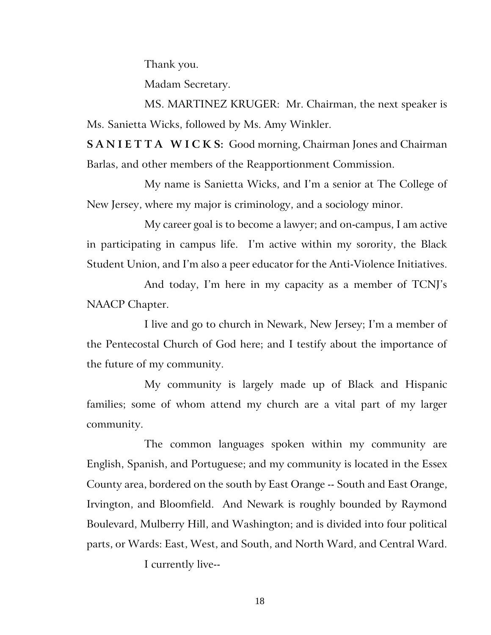Thank you.

Madam Secretary.

MS. MARTINEZ KRUGER: Mr. Chairman, the next speaker is Ms. Sanietta Wicks, followed by Ms. Amy Winkler.

**S A N I E T T A W I C K S:** Good morning, Chairman Jones and Chairman Barlas, and other members of the Reapportionment Commission.

My name is Sanietta Wicks, and I'm a senior at The College of New Jersey, where my major is criminology, and a sociology minor.

My career goal is to become a lawyer; and on-campus, I am active in participating in campus life. I'm active within my sorority, the Black Student Union, and I'm also a peer educator for the Anti-Violence Initiatives.

And today, I'm here in my capacity as a member of TCNJ's NAACP Chapter.

I live and go to church in Newark, New Jersey; I'm a member of the Pentecostal Church of God here; and I testify about the importance of the future of my community.

My community is largely made up of Black and Hispanic families; some of whom attend my church are a vital part of my larger community.

The common languages spoken within my community are English, Spanish, and Portuguese; and my community is located in the Essex County area, bordered on the south by East Orange -- South and East Orange, Irvington, and Bloomfield. And Newark is roughly bounded by Raymond Boulevard, Mulberry Hill, and Washington; and is divided into four political parts, or Wards: East, West, and South, and North Ward, and Central Ward.

I currently live--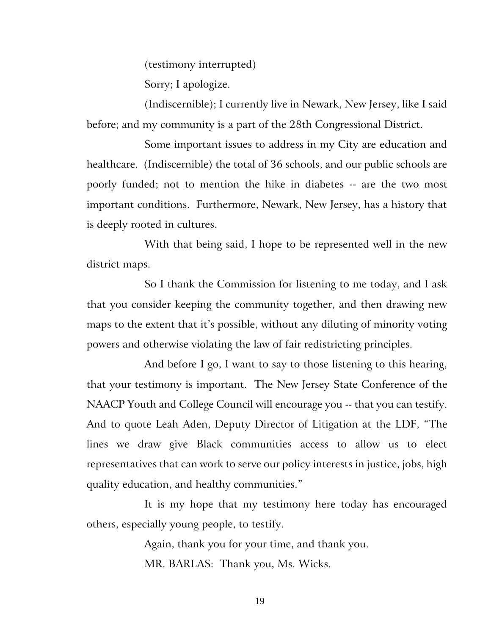(testimony interrupted)

Sorry; I apologize.

(Indiscernible); I currently live in Newark, New Jersey, like I said before; and my community is a part of the 28th Congressional District.

Some important issues to address in my City are education and healthcare. (Indiscernible) the total of 36 schools, and our public schools are poorly funded; not to mention the hike in diabetes -- are the two most important conditions. Furthermore, Newark, New Jersey, has a history that is deeply rooted in cultures.

With that being said, I hope to be represented well in the new district maps.

So I thank the Commission for listening to me today, and I ask that you consider keeping the community together, and then drawing new maps to the extent that it's possible, without any diluting of minority voting powers and otherwise violating the law of fair redistricting principles.

And before I go, I want to say to those listening to this hearing, that your testimony is important. The New Jersey State Conference of the NAACP Youth and College Council will encourage you -- that you can testify. And to quote Leah Aden, Deputy Director of Litigation at the LDF, "The lines we draw give Black communities access to allow us to elect representatives that can work to serve our policy interests in justice, jobs, high quality education, and healthy communities."

It is my hope that my testimony here today has encouraged others, especially young people, to testify.

> Again, thank you for your time, and thank you. MR. BARLAS: Thank you, Ms. Wicks.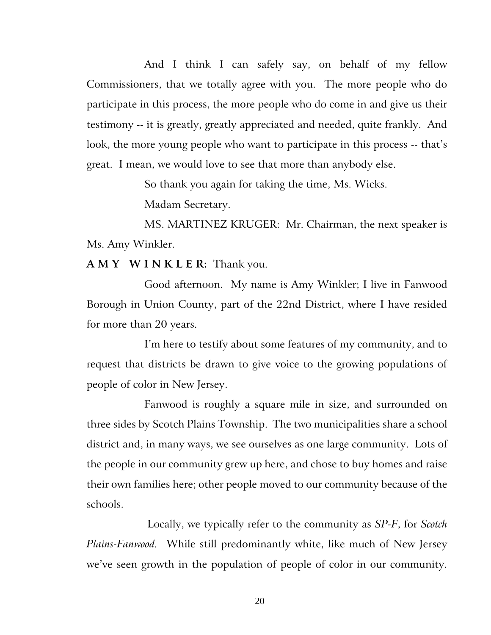And I think I can safely say, on behalf of my fellow Commissioners, that we totally agree with you. The more people who do participate in this process, the more people who do come in and give us their testimony -- it is greatly, greatly appreciated and needed, quite frankly. And look, the more young people who want to participate in this process -- that's great. I mean, we would love to see that more than anybody else.

So thank you again for taking the time, Ms. Wicks.

Madam Secretary.

MS. MARTINEZ KRUGER: Mr. Chairman, the next speaker is Ms. Amy Winkler.

**A M Y W I N K L E R:** Thank you.

Good afternoon. My name is Amy Winkler; I live in Fanwood Borough in Union County, part of the 22nd District, where I have resided for more than 20 years.

I'm here to testify about some features of my community, and to request that districts be drawn to give voice to the growing populations of people of color in New Jersey.

Fanwood is roughly a square mile in size, and surrounded on three sides by Scotch Plains Township. The two municipalities share a school district and, in many ways, we see ourselves as one large community. Lots of the people in our community grew up here, and chose to buy homes and raise their own families here; other people moved to our community because of the schools.

Locally, we typically refer to the community as *SP-F*, for *Scotch Plains-Fanwood.* While still predominantly white, like much of New Jersey we've seen growth in the population of people of color in our community.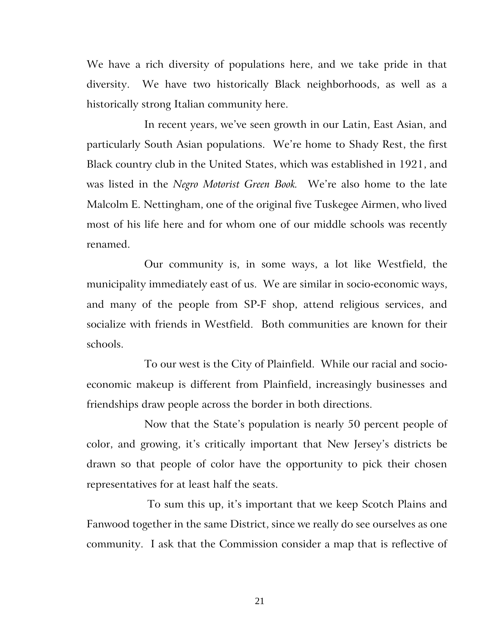We have a rich diversity of populations here, and we take pride in that diversity. We have two historically Black neighborhoods, as well as a historically strong Italian community here.

In recent years, we've seen growth in our Latin, East Asian, and particularly South Asian populations. We're home to Shady Rest, the first Black country club in the United States, which was established in 1921, and was listed in the *Negro Motorist Green Book.* We're also home to the late Malcolm E. Nettingham, one of the original five Tuskegee Airmen, who lived most of his life here and for whom one of our middle schools was recently renamed.

Our community is, in some ways, a lot like Westfield, the municipality immediately east of us. We are similar in socio-economic ways, and many of the people from SP-F shop, attend religious services, and socialize with friends in Westfield. Both communities are known for their schools.

To our west is the City of Plainfield. While our racial and socioeconomic makeup is different from Plainfield, increasingly businesses and friendships draw people across the border in both directions.

Now that the State's population is nearly 50 percent people of color, and growing, it's critically important that New Jersey's districts be drawn so that people of color have the opportunity to pick their chosen representatives for at least half the seats.

To sum this up, it's important that we keep Scotch Plains and Fanwood together in the same District, since we really do see ourselves as one community. I ask that the Commission consider a map that is reflective of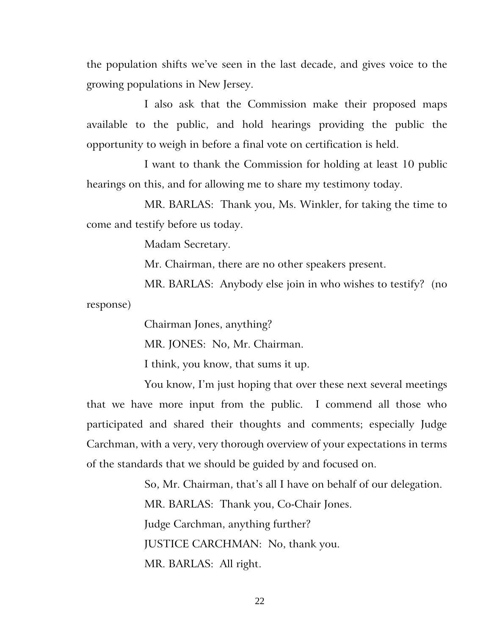the population shifts we've seen in the last decade, and gives voice to the growing populations in New Jersey.

I also ask that the Commission make their proposed maps available to the public, and hold hearings providing the public the opportunity to weigh in before a final vote on certification is held.

I want to thank the Commission for holding at least 10 public hearings on this, and for allowing me to share my testimony today.

MR. BARLAS: Thank you, Ms. Winkler, for taking the time to come and testify before us today.

Madam Secretary.

Mr. Chairman, there are no other speakers present.

MR. BARLAS: Anybody else join in who wishes to testify? (no response)

Chairman Jones, anything?

MR. JONES: No, Mr. Chairman.

I think, you know, that sums it up.

You know, I'm just hoping that over these next several meetings that we have more input from the public. I commend all those who participated and shared their thoughts and comments; especially Judge Carchman, with a very, very thorough overview of your expectations in terms of the standards that we should be guided by and focused on.

> So, Mr. Chairman, that's all I have on behalf of our delegation. MR. BARLAS: Thank you, Co-Chair Jones. Judge Carchman, anything further? JUSTICE CARCHMAN: No, thank you. MR. BARLAS: All right.